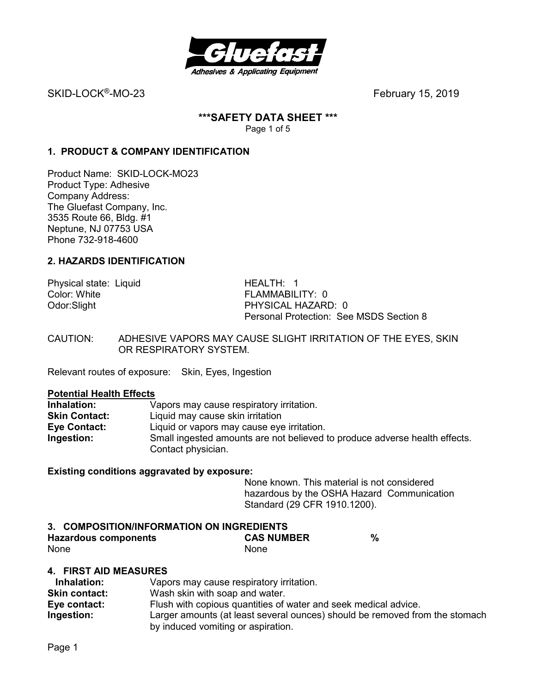

SKID-LOCK®-MO-23 February 15, 2019

#### **\*\*\*SAFETY DATA SHEET \*\*\***  Page 1 of 5

# **1. PRODUCT & COMPANY IDENTIFICATION**

Product Name: SKID-LOCK-MO23 Product Type: Adhesive Company Address: The Gluefast Company, Inc. 3535 Route 66, Bldg. #1 Neptune, NJ 07753 USA Phone 732-918-4600

# **2. HAZARDS IDENTIFICATION**

Physical state: Liquid **HEALTH: 1**<br>Color: White **HEALTH: 1** 

FLAMMABILITY: 0 Odor:Slight PHYSICAL HAZARD: 0 Personal Protection: See MSDS Section 8

CAUTION: ADHESIVE VAPORS MAY CAUSE SLIGHT IRRITATION OF THE EYES, SKIN OR RESPIRATORY SYSTEM.

Relevant routes of exposure: Skin, Eyes, Ingestion

#### **Potential Health Effects**

| Inhalation:          | Vapors may cause respiratory irritation.                                   |
|----------------------|----------------------------------------------------------------------------|
| <b>Skin Contact:</b> | Liquid may cause skin irritation                                           |
| Eye Contact:         | Liquid or vapors may cause eye irritation.                                 |
| Ingestion:           | Small ingested amounts are not believed to produce adverse health effects. |
|                      | Contact physician.                                                         |

#### **Existing conditions aggravated by exposure:**

None known. This material is not considered hazardous by the OSHA Hazard Communication Standard (29 CFR 1910.1200).

#### **3. COMPOSITION/INFORMATION ON INGREDIENTS**

| <b>Hazardous components</b> | <b>CAS NUMBER</b> |  |
|-----------------------------|-------------------|--|
| None                        | <b>None</b>       |  |

### **4. FIRST AID MEASURES**

| Inhalation:          | Vapors may cause respiratory irritation.                                    |
|----------------------|-----------------------------------------------------------------------------|
| <b>Skin contact:</b> | Wash skin with soap and water.                                              |
| Eye contact:         | Flush with copious quantities of water and seek medical advice.             |
| Ingestion:           | Larger amounts (at least several ounces) should be removed from the stomach |
|                      | by induced vomiting or aspiration.                                          |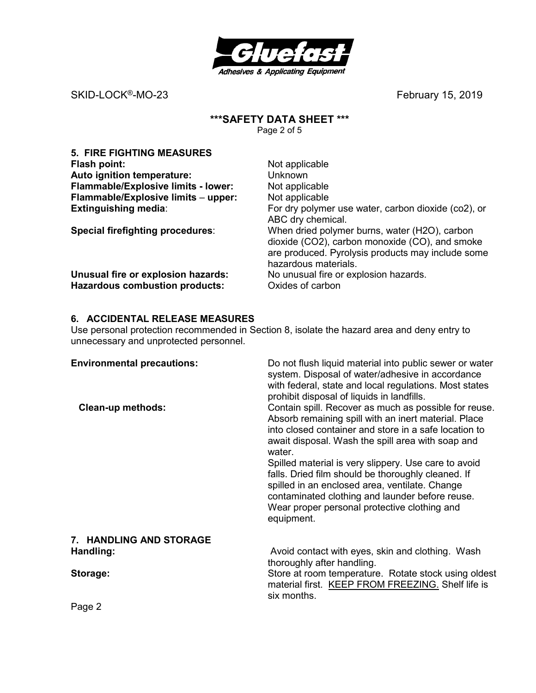

SKID-LOCK®-MO-23 February 15, 2019

# **\*\*\*SAFETY DATA SHEET \*\*\***

Page 2 of 5

| Not applicable                                                                                                                                                               |
|------------------------------------------------------------------------------------------------------------------------------------------------------------------------------|
| <b>Unknown</b>                                                                                                                                                               |
| Not applicable                                                                                                                                                               |
| Not applicable                                                                                                                                                               |
| For dry polymer use water, carbon dioxide (co2), or<br>ABC dry chemical.                                                                                                     |
| When dried polymer burns, water (H2O), carbon<br>dioxide (CO2), carbon monoxide (CO), and smoke<br>are produced. Pyrolysis products may include some<br>hazardous materials. |
| No unusual fire or explosion hazards.<br>Oxides of carbon                                                                                                                    |
|                                                                                                                                                                              |

# **6. ACCIDENTAL RELEASE MEASURES**

Use personal protection recommended in Section 8, isolate the hazard area and deny entry to unnecessary and unprotected personnel.

| <b>Environmental precautions:</b><br><b>Clean-up methods:</b> | Do not flush liquid material into public sewer or water<br>system. Disposal of water/adhesive in accordance<br>with federal, state and local regulations. Most states<br>prohibit disposal of liquids in landfills.<br>Contain spill. Recover as much as possible for reuse.<br>Absorb remaining spill with an inert material. Place |
|---------------------------------------------------------------|--------------------------------------------------------------------------------------------------------------------------------------------------------------------------------------------------------------------------------------------------------------------------------------------------------------------------------------|
|                                                               | into closed container and store in a safe location to<br>await disposal. Wash the spill area with soap and<br>water.                                                                                                                                                                                                                 |
|                                                               | Spilled material is very slippery. Use care to avoid<br>falls. Dried film should be thoroughly cleaned. If<br>spilled in an enclosed area, ventilate. Change<br>contaminated clothing and launder before reuse.<br>Wear proper personal protective clothing and<br>equipment.                                                        |
| 7. HANDLING AND STORAGE                                       |                                                                                                                                                                                                                                                                                                                                      |
| Handling:                                                     | Avoid contact with eyes, skin and clothing. Wash<br>thoroughly after handling.                                                                                                                                                                                                                                                       |
| Storage:                                                      | Store at room temperature. Rotate stock using oldest<br>material first. KEEP FROM FREEZING. Shelf life is<br>six months.                                                                                                                                                                                                             |
| $P$ ane $2$                                                   |                                                                                                                                                                                                                                                                                                                                      |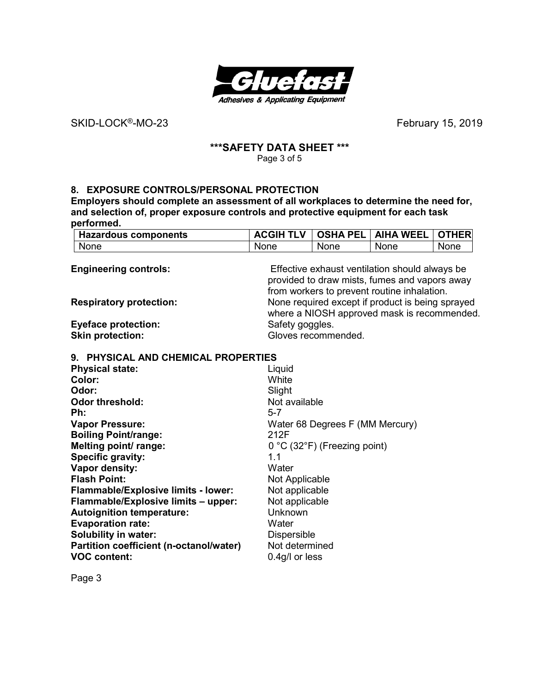

SKID-LOCK<sup>®</sup>-MO-23 February 15, 2019

# **\*\*\*SAFETY DATA SHEET \*\*\***

Page 3 of 5

### **8. EXPOSURE CONTROLS/PERSONAL PROTECTION**

**Employers should complete an assessment of all workplaces to determine the need for, and selection of, proper exposure controls and protective equipment for each task performed.** 

| <b>Hazardous components</b> | <b>ACGIH TLV</b> | OSHA PEL   AIHA WEEL | <b>OTHER</b> |
|-----------------------------|------------------|----------------------|--------------|
| None<br>None                | None             | None                 | None         |

| <b>Engineering controls:</b>                          | Effective exhaust ventilation should always be<br>provided to draw mists, fumes and vapors away<br>from workers to prevent routine inhalation. |
|-------------------------------------------------------|------------------------------------------------------------------------------------------------------------------------------------------------|
| <b>Respiratory protection:</b>                        | None required except if product is being sprayed<br>where a NIOSH approved mask is recommended.                                                |
| <b>Eyeface protection:</b><br><b>Skin protection:</b> | Safety goggles.<br>Gloves recommended.                                                                                                         |

# **9. PHYSICAL AND CHEMICAL PROPERTIES**

| <b>Physical state:</b>                     | Liquid                                           |
|--------------------------------------------|--------------------------------------------------|
| Color:                                     | White                                            |
| Odor:                                      | Slight                                           |
| <b>Odor threshold:</b>                     | Not available                                    |
| Ph:                                        | $5 - 7$                                          |
| <b>Vapor Pressure:</b>                     | Water 68 Degrees F (MM Mercury)                  |
| <b>Boiling Point/range:</b>                | 212F                                             |
| Melting point/ range:                      | $0^{\circ}$ C (32 $^{\circ}$ F) (Freezing point) |
| <b>Specific gravity:</b>                   | 1.1                                              |
| Vapor density:                             | Water                                            |
| <b>Flash Point:</b>                        | Not Applicable                                   |
| <b>Flammable/Explosive limits - lower:</b> | Not applicable                                   |
| Flammable/Explosive limits - upper:        | Not applicable                                   |
| <b>Autoignition temperature:</b>           | Unknown                                          |
| <b>Evaporation rate:</b>                   | Water                                            |
| <b>Solubility in water:</b>                | <b>Dispersible</b>                               |
| Partition coefficient (n-octanol/water)    | Not determined                                   |
| <b>VOC content:</b>                        | 0.4g/l or less                                   |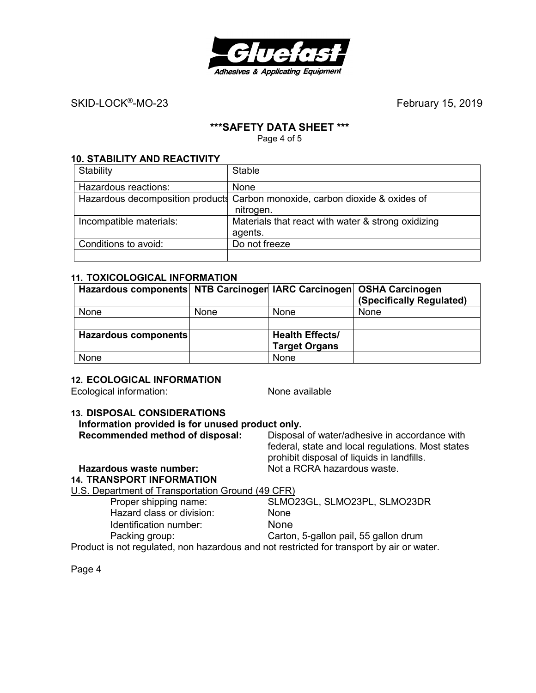

SKID-LOCK<sup>®</sup>-MO-23 February 15, 2019

## **\*\*\*SAFETY DATA SHEET \*\*\***

Page 4 of 5

#### **10. STABILITY AND REACTIVITY**

| Stability               | <b>Stable</b>                                                                |
|-------------------------|------------------------------------------------------------------------------|
| Hazardous reactions:    | None                                                                         |
|                         | Hazardous decomposition products Carbon monoxide, carbon dioxide & oxides of |
|                         | nitrogen.                                                                    |
| Incompatible materials: | Materials that react with water & strong oxidizing                           |
|                         | agents.                                                                      |
| Conditions to avoid:    | Do not freeze                                                                |
|                         |                                                                              |

#### **11. TOXICOLOGICAL INFORMATION**

| Hazardous components NTB Carcinoger IARC Carcinogen OSHA Carcinogen |      |                                                | (Specifically Regulated) |
|---------------------------------------------------------------------|------|------------------------------------------------|--------------------------|
| None                                                                | None | None                                           | None                     |
|                                                                     |      |                                                |                          |
| Hazardous components                                                |      | <b>Health Effects/</b><br><b>Target Organs</b> |                          |
| None                                                                |      | None                                           |                          |

#### **12. ECOLOGICAL INFORMATION**

Ecological information: None available

#### **13. DISPOSAL CONSIDERATIONS**

**Information provided is for unused product only.** 

**Recommended method of disposal:** Disposal of water/adhesive in accordance with federal, state and local regulations. Most states prohibit disposal of liquids in landfills. **Hazardous waste number:** Not a RCRA hazardous waste.

# **14. TRANSPORT INFORMATION**

U.S. Department of Transportation Ground (49 CFR)

| Proper shipping name:                                                                     | SLMO23GL, SLMO23PL, SLMO23DR          |  |
|-------------------------------------------------------------------------------------------|---------------------------------------|--|
| Hazard class or division:                                                                 | None                                  |  |
| Identification number:                                                                    | <b>None</b>                           |  |
| Packing group:                                                                            | Carton, 5-gallon pail, 55 gallon drum |  |
| Product is not regulated, non hazardous and not restricted for transport by air or water. |                                       |  |